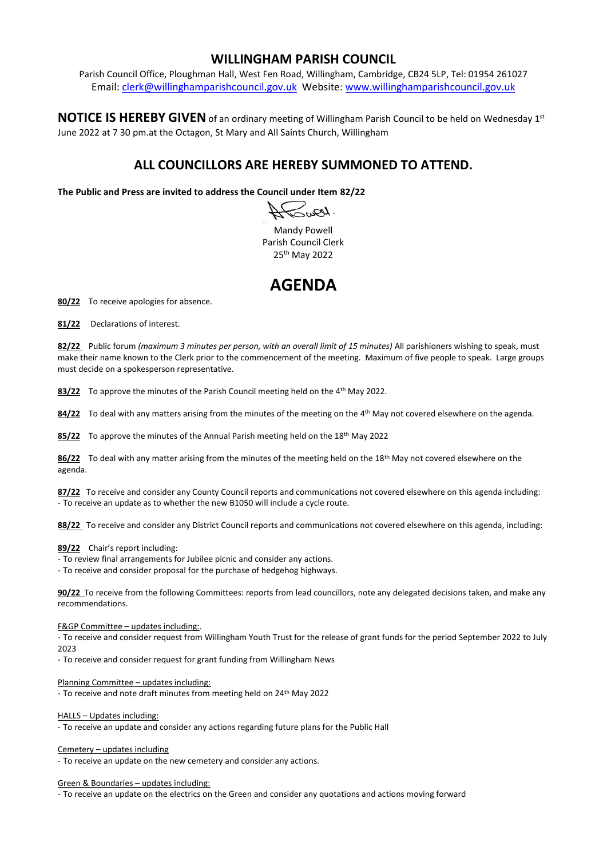## **WILLINGHAM PARISH COUNCIL**

Parish Council Office, Ploughman Hall, West Fen Road, Willingham, Cambridge, CB24 5LP, Tel: 01954 261027 Email: [clerk@willinghamparishcouncil.gov.uk](mailto:clerk@willinghamparishcouncil.gov.uk) Website: [www.willinghamparishcouncil.gov.uk](http://www.willinghamparishcouncil.gov.uk/)

NOTICE IS HEREBY GIVEN of an ordinary meeting of Willingham Parish Council to be held on Wednesday 1st June 2022 at 7 30 pm.at the Octagon, St Mary and All Saints Church, Willingham

## **ALL COUNCILLORS ARE HEREBY SUMMONED TO ATTEND.**

**The Public and Press are invited to address the Council under Item 82/22**

 $\omega$ ...

Mandy Powell Parish Council Clerk 25th May 2022

## **AGENDA**

**80/22** To receive apologies for absence.

**81/22** Declarations of interest.

**82/22** Public forum *(maximum 3 minutes per person, with an overall limit of 15 minutes)* All parishioners wishing to speak, must make their name known to the Clerk prior to the commencement of the meeting. Maximum of five people to speak. Large groups must decide on a spokesperson representative.

83/22 To approve the minutes of the Parish Council meeting held on the 4<sup>th</sup> May 2022.

**84/22** To deal with any matters arising from the minutes of the meeting on the 4 th May not covered elsewhere on the agenda.

85/22 To approve the minutes of the Annual Parish meeting held on the 18<sup>th</sup> May 2022

**86/22** To deal with any matter arising from the minutes of the meeting held on the 18th May not covered elsewhere on the agenda.

**87/22** To receive and consider any County Council reports and communications not covered elsewhere on this agenda including: - To receive an update as to whether the new B1050 will include a cycle route.

**88/22** To receive and consider any District Council reports and communications not covered elsewhere on this agenda, including:

**89/22** Chair's report including:

- To review final arrangements for Jubilee picnic and consider any actions.

- To receive and consider proposal for the purchase of hedgehog highways.

**90/22** To receive from the following Committees: reports from lead councillors, note any delegated decisions taken, and make any recommendations.

F&GP Committee – updates including:.

- To receive and consider request from Willingham Youth Trust for the release of grant funds for the period September 2022 to July 2023

- To receive and consider request for grant funding from Willingham News

Planning Committee – updates including:

- To receive and note draft minutes from meeting held on 24th May 2022

HALLS – Updates including:

- To receive an update and consider any actions regarding future plans for the Public Hall

Cemetery – updates including

- To receive an update on the new cemetery and consider any actions.

Green & Boundaries – updates including:

- To receive an update on the electrics on the Green and consider any quotations and actions moving forward